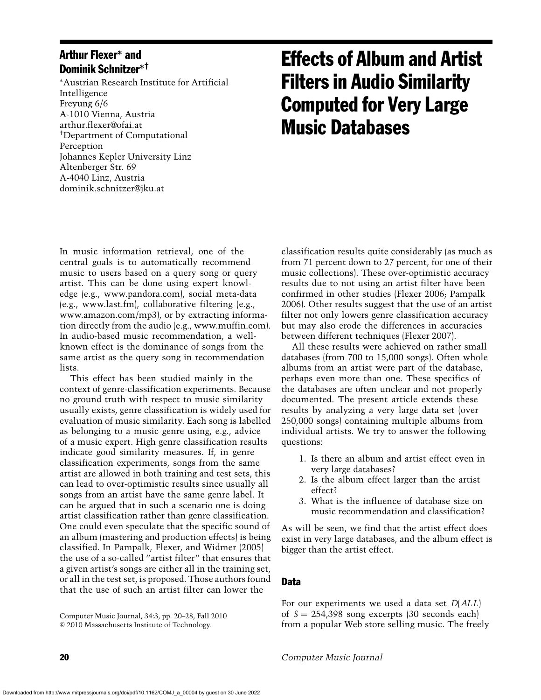## Arthur Flexer**∗** and Dominik Schnitzer**∗**†

<sup>∗</sup>Austrian Research Institute for Artificial Intelligence Freyung 6/6 A-1010 Vienna, Austria arthur.flexer@ofai.at †Department of Computational Perception Johannes Kepler University Linz Altenberger Str. 69 A-4040 Linz, Austria dominik.schnitzer@jku.at

# Effects of Album and Artist Filters in Audio Similarity Computed for Very Large Music Databases

In music information retrieval, one of the central goals is to automatically recommend music to users based on a query song or query artist. This can be done using expert knowledge (e.g., [www.pandora.com\)](http://www.pandora.com), social meta-data (e.g., [www.last.fm\)](http://www.last.fm), collaborative filtering (e.g., [www.amazon.com/mp3\)](http://www.amazon.com/mp3), or by extracting information directly from the audio (e.g., [www.muffin.com\)](http://www.muffin.com). In audio-based music recommendation, a wellknown effect is the dominance of songs from the same artist as the query song in recommendation lists.

This effect has been studied mainly in the context of genre-classification experiments. Because no ground truth with respect to music similarity usually exists, genre classification is widely used for evaluation of music similarity. Each song is labelled as belonging to a music genre using, e.g., advice of a music expert. High genre classification results indicate good similarity measures. If, in genre classification experiments, songs from the same artist are allowed in both training and test sets, this can lead to over-optimistic results since usually all songs from an artist have the same genre label. It can be argued that in such a scenario one is doing artist classification rather than genre classification. One could even speculate that the specific sound of an album (mastering and production effects) is being classified. In [Pampalk, Flexer, and Widmer](#page-8-0) [\(2005\)](#page-8-0) the use of a so-called "artist filter" that ensures that a given artist's songs are either all in the training set, or all in the test set, is proposed. Those authors found that the use of such an artist filter can lower the

Computer Music Journal, 34:3, pp. 20–28, Fall 2010

classification results quite considerably (as much as from 71 percent down to 27 percent, for one of their music collections). These over-optimistic accuracy results due to not using an artist filter have been confirmed in other studies [\(Flexer 2006;](#page-8-1) [Pampalk](#page-8-2) [2006\)](#page-8-2). Other results suggest that the use of an artist filter not only lowers genre classification accuracy but may also erode the differences in accuracies between different techniques [\(Flexer 2007](#page-8-3)).

All these results were achieved on rather small databases (from 700 to 15,000 songs). Often whole albums from an artist were part of the database, perhaps even more than one. These specifics of the databases are often unclear and not properly documented. The present article extends these results by analyzing a very large data set (over 250,000 songs) containing multiple albums from individual artists. We try to answer the following questions:

- 1. Is there an album and artist effect even in very large databases?
- 2. Is the album effect larger than the artist effect?
- 3. What is the influence of database size on music recommendation and classification?

As will be seen, we find that the artist effect does exist in very large databases, and the album effect is bigger than the artist effect.

#### Data

For our experiments we used a data set *D*(*ALL*) of *S* = 254,398 song excerpts (30 seconds each) from a popular Web store selling music. The freely

20 *Computer Music Journal*

 $© 2010 Massachusetts Institute of Technology.$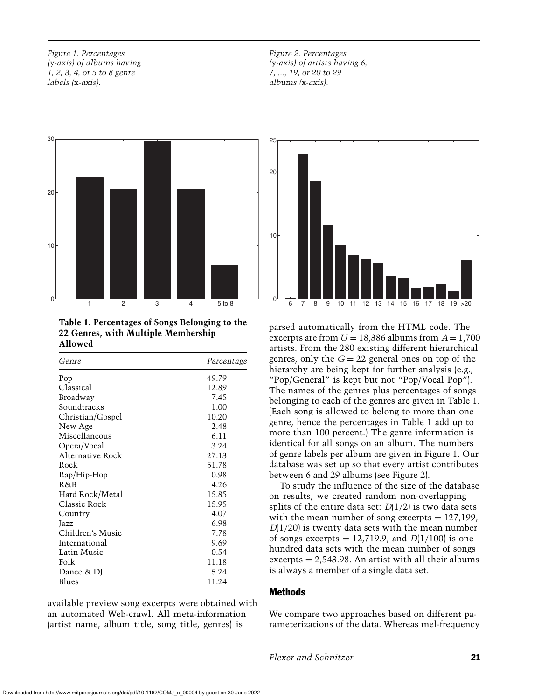*Figure 1. Percentages (*y*-axis) of albums having 1, 2, 3, 4, or 5 to 8 genre labels (*x*-axis).*

*Figure 2. Percentages (*y*-axis) of artists having 6, 7, ..., 19, or 20 to 29 albums (*x*-axis).*



<span id="page-1-0"></span>**Table 1. Percentages of Songs Belonging to the 22 Genres, with Multiple Membership Allowed**

| Genre            | Percentage |  |
|------------------|------------|--|
| Pop              | 49.79      |  |
| Classical        | 12.89      |  |
| Broadway         | 7.45       |  |
| Soundtracks      | 1.00       |  |
| Christian/Gospel | 10.20      |  |
| New Age          | 2.48       |  |
| Miscellaneous    | 6.11       |  |
| Opera/Vocal      | 3.24       |  |
| Alternative Rock | 27.13      |  |
| Rock             | 51.78      |  |
| Rap/Hip-Hop      | 0.98       |  |
| $R\&B$           | 4.26       |  |
| Hard Rock/Metal  | 15.85      |  |
| Classic Rock     | 15.95      |  |
| Country          | 4.07       |  |
| Jazz             | 6.98       |  |
| Children's Music | 7.78       |  |
| International    | 9.69       |  |
| Latin Music      | 0.54       |  |
| Folk             | 11.18      |  |
| Dance & DJ       | 5.24       |  |
| Blues            | 11.24      |  |

available preview song excerpts were obtained with an automated Web-crawl. All meta-information (artist name, album title, song title, genres) is



parsed automatically from the HTML code. The excerpts are from  $U = 18,386$  albums from  $A = 1,700$ artists. From the 280 existing different hierarchical genres, only the  $G = 22$  general ones on top of the hierarchy are being kept for further analysis (e.g., "Pop/General" is kept but not "Pop/Vocal Pop"). The names of the genres plus percentages of songs belonging to each of the genres are given in Table [1.](#page-1-0) (Each song is allowed to belong to more than one genre, hence the percentages in Table [1](#page-1-0) add up to more than 100 percent.) The genre information is identical for all songs on an album. The numbers of genre labels per album are given in Figure 1. Our database was set up so that every artist contributes between 6 and 29 albums (see Figure 2).

To study the influence of the size of the database on results, we created random non-overlapping splits of the entire data set:  $D(1/2)$  is two data sets with the mean number of song excerpts  $= 127,199$ ;  $D(1/20)$  is twenty data sets with the mean number of songs excerpts =  $12,719.9$ ; and  $D(1/100)$  is one hundred data sets with the mean number of songs excerpts  $= 2,543.98$ . An artist with all their albums is always a member of a single data set.

#### **Methods**

We compare two approaches based on different parameterizations of the data. Whereas mel-frequency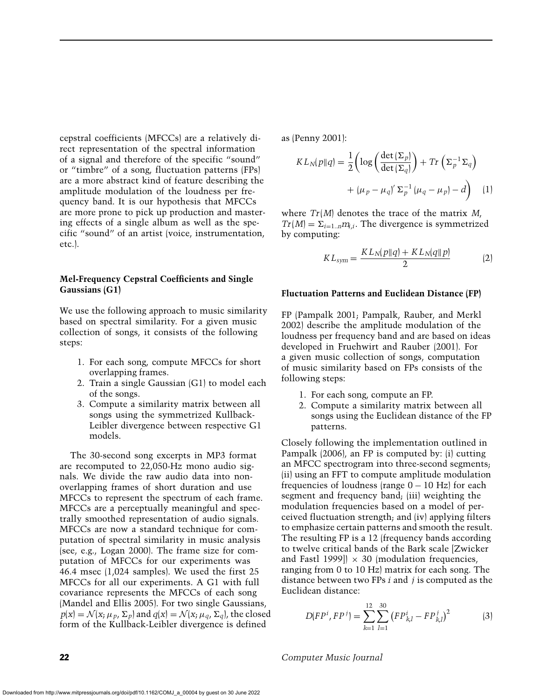cepstral coefficients (MFCCs) are a relatively direct representation of the spectral information of a signal and therefore of the specific "sound" or "timbre" of a song, fluctuation patterns (FPs) are a more abstract kind of feature describing the amplitude modulation of the loudness per frequency band. It is our hypothesis that MFCCs are more prone to pick up production and mastering effects of a single album as well as the specific "sound" of an artist (voice, instrumentation, etc.).

#### **Mel-Frequency Cepstral Coefficients and Single Gaussians (G1)**

We use the following approach to music similarity based on spectral similarity. For a given music collection of songs, it consists of the following steps:

- 1. For each song, compute MFCCs for short overlapping frames.
- 2. Train a single Gaussian (G1) to model each of the songs.
- 3. Compute a similarity matrix between all songs using the symmetrized Kullback-Leibler divergence between respective G1 models.

The 30-second song excerpts in MP3 format are recomputed to 22,050-Hz mono audio signals. We divide the raw audio data into nonoverlapping frames of short duration and use MFCCs to represent the spectrum of each frame. MFCCs are a perceptually meaningful and spectrally smoothed representation of audio signals. MFCCs are now a standard technique for computation of spectral similarity in music analysis (see, e.g., [Logan 2000\)](#page-8-4). The frame size for computation of MFCCs for our experiments was 46.4 msec (1,024 samples). We used the first 25 MFCCs for all our experiments. A G1 with full covariance represents the MFCCs of each song [\(Mandel and Ellis 2005\)](#page-8-5). For two single Gaussians,  $p(x) = \mathcal{N}(x; \mu_p, \Sigma_p)$  and  $q(x) = \mathcal{N}(x; \mu_q, \Sigma_q)$ , the closed form of the Kullback-Leibler divergence is defined

as [\(Penny 2001](#page-8-6)):

$$
KL_N(p||q) = \frac{1}{2} \left( \log \left( \frac{\det \left( \Sigma_p \right)}{\det \left( \Sigma_q \right)} \right) + Tr \left( \Sigma_p^{-1} \Sigma_q \right) + \left( \mu_p - \mu_q \right)' \Sigma_p^{-1} \left( \mu_q - \mu_p \right) - d \right) \tag{1}
$$

where *Tr*(*M*) denotes the trace of the matrix *M*,  $Tr(M) = \Sigma_{i=1..n} m_{i,i}$ . The divergence is symmetrized by computing:

<span id="page-2-0"></span>
$$
KL_{sym} = \frac{KL_N(p||q) + KL_N(q||p)}{2} \tag{2}
$$

#### **Fluctuation Patterns and Euclidean Distance (FP)**

FP [\(Pampalk 2001](#page-8-7); [Pampalk, Rauber, and Merkl](#page-8-8) [2002\)](#page-8-8) describe the amplitude modulation of the loudness per frequency band and are based on ideas developed in [Fruehwirt and Rauber](#page-8-9) [\(2001\)](#page-8-9). For a given music collection of songs, computation of music similarity based on FPs consists of the following steps:

- 1. For each song, compute an FP.
- 2. Compute a similarity matrix between all songs using the Euclidean distance of the FP patterns.

Closely following the implementation outlined in [Pampalk](#page-8-2) [\(2006](#page-8-2)), an FP is computed by: (i) cutting an MFCC spectrogram into three-second segments; (ii) using an FFT to compute amplitude modulation frequencies of loudness (range  $0 - 10$  Hz) for each segment and frequency band; (iii) weighting the modulation frequencies based on a model of perceived fluctuation strength; and (iv) applying filters to emphasize certain patterns and smooth the result. The resulting FP is a 12 (frequency bands according to twelv[e critical bands of the Bark scale \[](#page-8-10)Zwicker and Fastl [1999](#page-8-10)]]  $\times$  30 (modulation frequencies, ranging from 0 to 10 Hz) matrix for each song. The distance between two FPs *i* and *j* is computed as the Euclidean distance:

<span id="page-2-1"></span>
$$
D(FP^i, FP^j) = \sum_{k=1}^{12} \sum_{l=1}^{30} (FP^i_{k,l} - FP^j_{k,l})^2
$$
 (3)

22 *Computer Music Journal*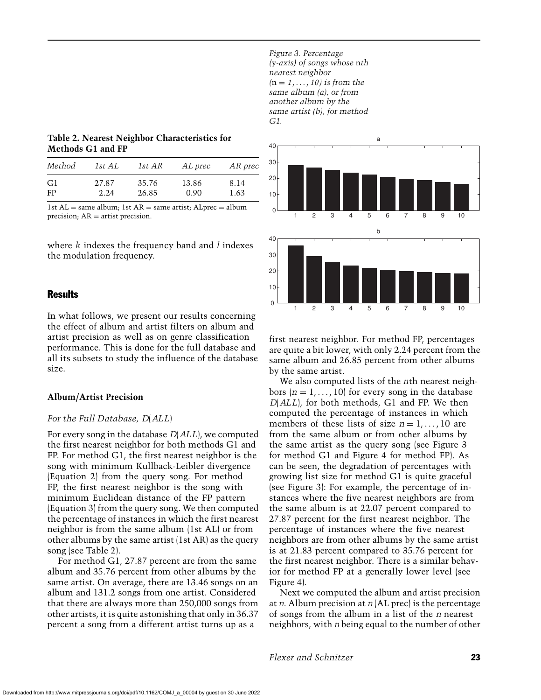*Figure 3. Percentage (*y*-axis) of songs whose* n*th nearest neighbor*  $(n = 1, \ldots, 10)$  *is from the same album (a), or from another album by the same artist (b), for method G1.*

<span id="page-3-0"></span>**Table 2. Nearest Neighbor Characteristics for Methods G1 and FP**

| Method | 1st AL | 1st AR | AL prec | AR prec |
|--------|--------|--------|---------|---------|
| G1     | 27.87  | 35.76  | 13.86   | 8.14    |
| FP     | 2.24   | 26.85  | 0.90    | 1.63    |

1st  $AL = same$  album; 1st  $AR = same$  artist;  $ALprec = album$  $precision; AR = artist precision.$ 

where *k* indexes the frequency band and *l* indexes the modulation frequency.

#### **Results**

In what follows, we present our results concerning the effect of album and artist filters on album and artist precision as well as on genre classification performance. This is done for the full database and all its subsets to study the influence of the database size.

#### **Album/Artist Precision**

#### *For the Full Database, D*(*ALL*)

For every song in the database *D*(*ALL*), we computed the first nearest neighbor for both methods G1 and FP. For method G1, the first nearest neighbor is the song with minimum Kullback-Leibler divergence (Equation [2\)](#page-2-0) from the query song. For method FP, the first nearest neighbor is the song with minimum Euclidean distance of the FP pattern (Equation [3\)](#page-2-1) from the query song. We then computed the percentage of instances in which the first nearest neighbor is from the same album (1st AL) or from other albums by the same artist (1st AR) as the query song (see Table [2\)](#page-3-0).

For method G1, 27.87 percent are from the same album and 35.76 percent from other albums by the same artist. On average, there are 13.46 songs on an album and 131.2 songs from one artist. Considered that there are always more than 250,000 songs from other artists, it is quite astonishing that only in 36.37 percent a song from a different artist turns up as a



first nearest neighbor. For method FP, percentages are quite a bit lower, with only 2.24 percent from the same album and 26.85 percent from other albums by the same artist.

We also computed lists of the *n*th nearest neighbors  $(n = 1, \ldots, 10)$  for every song in the database *D*(*ALL*), for both methods, G1 and FP. We then computed the percentage of instances in which members of these lists of size  $n = 1, \ldots, 10$  are from the same album or from other albums by the same artist as the query song (see Figure 3 for method G1 and Figure 4 for method FP). As can be seen, the degradation of percentages with growing list size for method G1 is quite graceful (see Figure 3): For example, the percentage of instances where the five nearest neighbors are from the same album is at 22.07 percent compared to 27.87 percent for the first nearest neighbor. The percentage of instances where the five nearest neighbors are from other albums by the same artist is at 21.83 percent compared to 35.76 percent for the first nearest neighbor. There is a similar behavior for method FP at a generally lower level (see Figure 4).

Next we computed the album and artist precision at *n*. Album precision at *n* (AL prec) is the percentage of songs from the album in a list of the *n* nearest neighbors, with *n* being equal to the number of other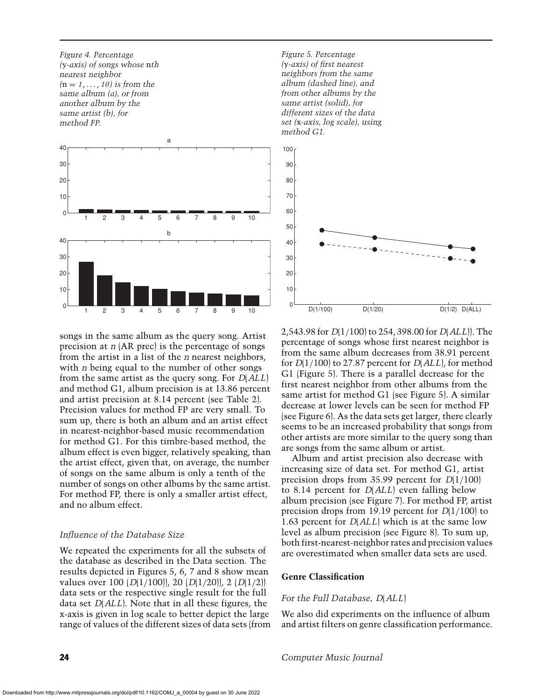*Figure 4. Percentage (*y*-axis) of songs whose* n*th nearest neighbor*  $(n = 1, \ldots, 10)$  *is from the same album (a), or from another album by the same artist (b), for method FP.*



songs in the same album as the query song. Artist precision at *n* (AR prec) is the percentage of songs from the artist in a list of the *n* nearest neighbors, with *n* being equal to the number of other songs from the same artist as the query song. For *D*(*ALL*) and method G1, album precision is at 13.86 percent and artist precision at 8.14 percent (see Table [2\)](#page-3-0). Precision values for method FP are very small. To sum up, there is both an album and an artist effect in nearest-neighbor-based music recommendation for method G1. For this timbre-based method, the album effect is even bigger, relatively speaking, than the artist effect, given that, on average, the number of songs on the same album is only a tenth of the number of songs on other albums by the same artist. For method FP, there is only a smaller artist effect, and no album effect.

#### *Influence of the Database Size*

We repeated the experiments for all the subsets of the database as described in the Data section. The results depicted in Figures 5, 6, 7 and 8 show mean values over 100 (*D*(1/100)), 20 (*D*(1/20)), 2 (*D*(1/2)) data sets or the respective single result for the full data set *D*(*ALL*). Note that in all these figures, the x-axis is given in log scale to better depict the large range of values of the different sizes of data sets (from



2,543.98 for *D*(1/100) to 254, 398.00 for *D*(*ALL*)). The percentage of songs whose first nearest neighbor is from the same album decreases from 38.91 percent for *D*(1/100) to 27.87 percent for *D*(*ALL*), for method G1 (Figure 5). There is a parallel decrease for the first nearest neighbor from other albums from the same artist for method G1 (see Figure 5). A similar decrease at lower levels can be seen for method FP (see Figure 6). As the data sets get larger, there clearly seems to be an increased probability that songs from other artists are more similar to the query song than are songs from the same album or artist.

Album and artist precision also decrease with increasing size of data set. For method G1, artist precision drops from 35.99 percent for *D*(1/100) to 8.14 percent for *D*(*ALL*) even falling below album precision (see Figure 7). For method FP, artist precision drops from 19.19 percent for *D*(1/100) to 1.63 percent for *D*(*ALL*) which is at the same low level as album precision (see Figure 8). To sum up, both first-nearest-neighbor rates and precision values are overestimated when smaller data sets are used.

#### **Genre Classification**

#### *For the Full Database, D*(*ALL*)

We also did experiments on the influence of album and artist filters on genre classification performance.

Downloaded from http://www.mitpressjournals.org/doi/pdf/10.1162/COMJ\_a\_00004 by guest on 30 June 2022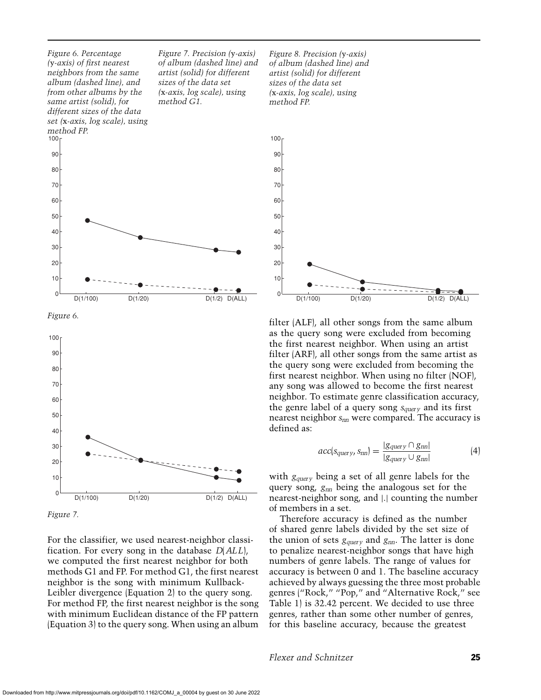





*Figure 7.*

For the classifier, we used nearest-neighbor classification. For every song in the database *D*(*ALL*), we computed the first nearest neighbor for both methods G1 and FP. For method G1, the first nearest neighbor is the song with minimum Kullback-Leibler divergence (Equation [2\)](#page-2-0) to the query song. For method FP, the first nearest neighbor is the song with minimum Euclidean distance of the FP pattern (Equation [3\)](#page-2-1) to the query song. When using an album

*Figure 8. Precision (*y*-axis) of album (dashed line) and artist (solid) for different sizes of the data set (*x*-axis, log scale), using method FP.*



filter (ALF), all other songs from the same album as the query song were excluded from becoming the first nearest neighbor. When using an artist filter (ARF), all other songs from the same artist as the query song were excluded from becoming the first nearest neighbor. When using no filter (NOF), any song was allowed to become the first nearest neighbor. To estimate genre classification accuracy, the genre label of a query song *s<sub>query</sub>* and its first nearest neighbor *snn* were compared. The accuracy is defined as:

$$
acc(s_{query}, s_{nn}) = \frac{|g_{query} \cap g_{nn}|}{|g_{query} \cup g_{nn}|}
$$
(4)

with  $g_{query}$  being a set of all genre labels for the query song, *gnn* being the analogous set for the nearest-neighbor song, and |.| counting the number of members in a set.

Therefore accuracy is defined as the number of shared genre labels divided by the set size of the union of sets  $g_{query}$  and  $g_{nn}$ . The latter is done to penalize nearest-neighbor songs that have high numbers of genre labels. The range of values for accuracy is between 0 and 1. The baseline accuracy achieved by always guessing the three most probable genres ("Rock," "Pop," and "Alternative Rock," see Table [1\)](#page-1-0) is 32.42 percent. We decided to use three genres, rather than some other number of genres, for this baseline accuracy, because the greatest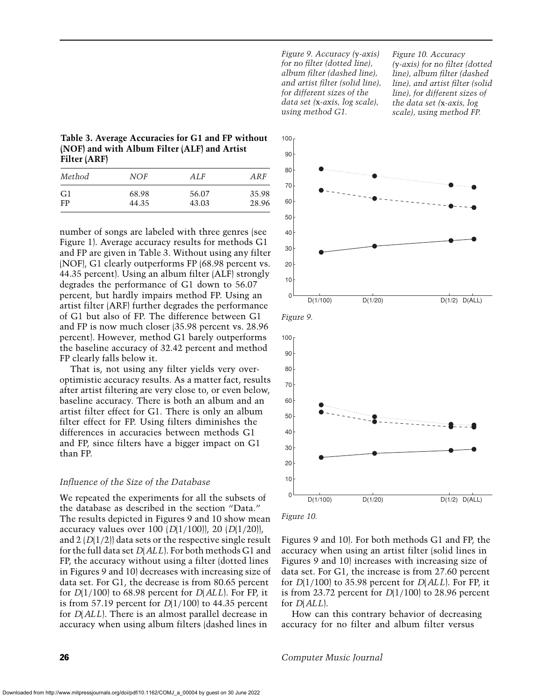<span id="page-6-0"></span>

| Table 3. Average Accuracies for G1 and FP without |  |
|---------------------------------------------------|--|
| (NOF) and with Album Filter (ALF) and Artist      |  |
| Filter (ARF)                                      |  |
|                                                   |  |

| Method | <b>NOF</b> | ALE   | ARF   |
|--------|------------|-------|-------|
| G1     | 68.98      | 56.07 | 35.98 |
| FP     | 44.35      | 43.03 | 28.96 |

number of songs are labeled with three genres (see Figure 1). Average accuracy results for methods G1 and FP are given in Table [3.](#page-6-0) Without using any filter (NOF), G1 clearly outperforms FP (68.98 percent vs. 44.35 percent). Using an album filter (ALF) strongly degrades the performance of G1 down to 56.07 percent, but hardly impairs method FP. Using an artist filter (ARF) further degrades the performance of G1 but also of FP. The difference between G1 and FP is now much closer (35.98 percent vs. 28.96 percent). However, method G1 barely outperforms the baseline accuracy of 32.42 percent and method FP clearly falls below it.

That is, not using any filter yields very overoptimistic accuracy results. As a matter fact, results after artist filtering are very close to, or even below, baseline accuracy. There is both an album and an artist filter effect for G1. There is only an album filter effect for FP. Using filters diminishes the differences in accuracies between methods G1 and FP, since filters have a bigger impact on G1 than FP.

#### *Influence of the Size of the Database*

We repeated the experiments for all the subsets of the database as described in the section "Data." The results depicted in Figures 9 and 10 show mean accuracy values over 100 (*D*(1/100)), 20 (*D*(1/20)), and 2 (*D*(1/2)) data sets or the respective single result for the full data set *D*(*ALL*). For both methods G1 and FP, the accuracy without using a filter (dotted lines in Figures 9 and 10) decreases with increasing size of data set. For G1, the decrease is from 80.65 percent for *D*(1/100) to 68.98 percent for *D*(*ALL*). For FP, it is from 57.19 percent for *D*(1/100) to 44.35 percent for *D*(*ALL*). There is an almost parallel decrease in accuracy when using album filters (dashed lines in

*Figure 10. Accuracy (*y*-axis) for no filter (dotted line), album filter (dashed line), and artist filter (solid line), for different sizes of the data set (*x*-axis, log scale), using method FP.*

*Figure 9. Accuracy (*y*-axis) for no filter (dotted line), album filter (dashed line), and artist filter (solid line), for different sizes of the data set (*x*-axis, log scale), using method G1.*

*Figure 10.*

Figures 9 and 10). For both methods G1 and FP, the accuracy when using an artist filter (solid lines in Figures 9 and 10) increases with increasing size of data set. For G1, the increase is from 27.60 percent for *D*(1/100) to 35.98 percent for *D*(*ALL*). For FP, it is from 23.72 percent for *D*(1/100) to 28.96 percent for *D*(*ALL*).

How can this contrary behavior of decreasing accuracy for no filter and album filter versus

26 *Computer Music Journal*

Downloaded from http://www.mitpressjournals.org/doi/pdf/10.1162/COMJ\_a\_00004 by guest on 30 June 2022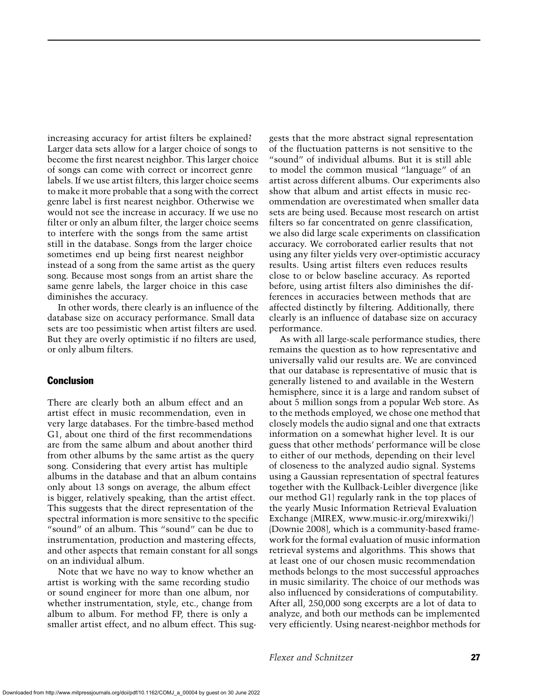increasing accuracy for artist filters be explained? Larger data sets allow for a larger choice of songs to become the first nearest neighbor. This larger choice of songs can come with correct or incorrect genre labels. If we use artist filters, this larger choice seems to make it more probable that a song with the correct genre label is first nearest neighbor. Otherwise we would not see the increase in accuracy. If we use no filter or only an album filter, the larger choice seems to interfere with the songs from the same artist still in the database. Songs from the larger choice sometimes end up being first nearest neighbor instead of a song from the same artist as the query song. Because most songs from an artist share the same genre labels, the larger choice in this case diminishes the accuracy.

In other words, there clearly is an influence of the database size on accuracy performance. Small data sets are too pessimistic when artist filters are used. But they are overly optimistic if no filters are used, or only album filters.

### **Conclusion**

There are clearly both an album effect and an artist effect in music recommendation, even in very large databases. For the timbre-based method G1, about one third of the first recommendations are from the same album and about another third from other albums by the same artist as the query song. Considering that every artist has multiple albums in the database and that an album contains only about 13 songs on average, the album effect is bigger, relatively speaking, than the artist effect. This suggests that the direct representation of the spectral information is more sensitive to the specific "sound" of an album. This "sound" can be due to instrumentation, production and mastering effects, and other aspects that remain constant for all songs on an individual album.

Note that we have no way to know whether an artist is working with the same recording studio or sound engineer for more than one album, nor whether instrumentation, style, etc., change from album to album. For method FP, there is only a smaller artist effect, and no album effect. This suggests that the more abstract signal representation of the fluctuation patterns is not sensitive to the "sound" of individual albums. But it is still able to model the common musical "language" of an artist across different albums. Our experiments also show that album and artist effects in music recommendation are overestimated when smaller data sets are being used. Because most research on artist filters so far concentrated on genre classification, we also did large scale experiments on classification accuracy. We corroborated earlier results that not using any filter yields very over-optimistic accuracy results. Using artist filters even reduces results close to or below baseline accuracy. As reported before, using artist filters also diminishes the differences in accuracies between methods that are affected distinctly by filtering. Additionally, there clearly is an influence of database size on accuracy performance.

As with all large-scale performance studies, there remains the question as to how representative and universally valid our results are. We are convinced that our database is representative of music that is generally listened to and available in the Western hemisphere, since it is a large and random subset of about 5 million songs from a popular Web store. As to the methods employed, we chose one method that closely models the audio signal and one that extracts information on a somewhat higher level. It is our guess that other methods' performance will be close to either of our methods, depending on their level of closeness to the analyzed audio signal. Systems using a Gaussian representation of spectral features together with the Kullback-Leibler divergence (like our method G1) regularly rank in the top places of the yearly Music Information Retrieval Evaluation Exchange (MIREX, [www.music-ir.org/mirexwiki/\)](http://www.music-ir.org/mirexwiki/) [\(Downie 2008](#page-8-11)), which is a community-based framework for the formal evaluation of music information retrieval systems and algorithms. This shows that at least one of our chosen music recommendation methods belongs to the most successful approaches in music similarity. The choice of our methods was also influenced by considerations of computability. After all, 250,000 song excerpts are a lot of data to analyze, and both our methods can be implemented very efficiently. Using nearest-neighbor methods for